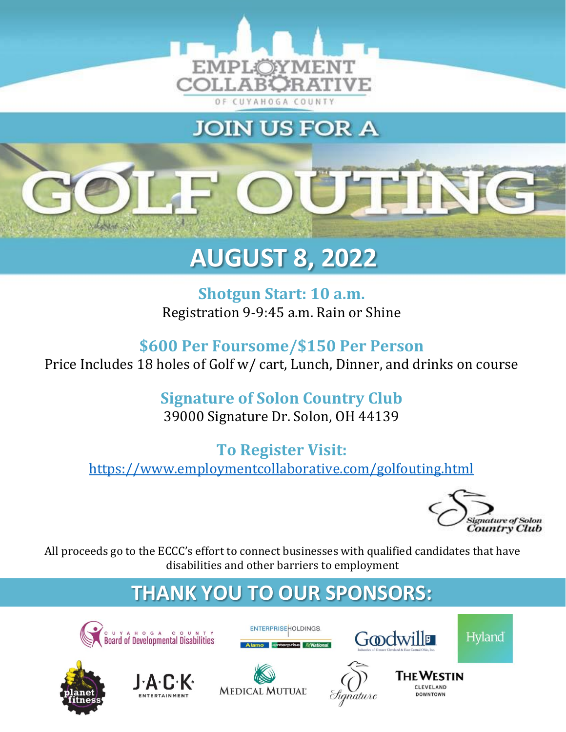

**JOIN US FOR A** 

# OÜTIN

## **AUGUST 8, 2022**

**Shotgun Start: 10 a.m.** Registration 9-9:45 a.m. Rain or Shine

**\$600 Per Foursome/\$150 Per Person** Price Includes 18 holes of Golf w/ cart, Lunch, Dinner, and drinks on course

## **Signature of Solon Country Club**

39000 Signature Dr. Solon, OH 44139

### **To Register Visit:** <https://www.employmentcollaborative.com/golfouting.html>



All proceeds go to the ECCC's effort to connect businesses with qualified candidates that have disabilities and other barriers to employment

## **THANK YOU TO OUR SPONSORS:**

ENTERPRISE HOLDINGS













nature